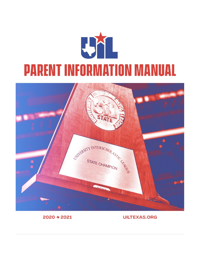



# 2020 + 2021

**UILTEXAS.ORG**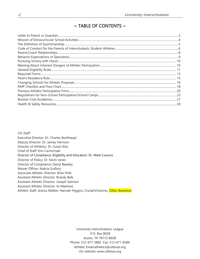# $\sim$  TABLE OF CONTENTS  $\sim$

UIL Staff: Executive Director: Dr. Charles Breithaupt Deputy Director: Dr. Jamey Harrison Director of Athletics: Dr. Susan Elza Chief of Staff: Kim Carmichael Director of Compliance, Eligibility and Education: Dr. Mark Cousins Director of Policy: Dr. Kevin Jones Director of Compliance: Darryl Beasley Waiver Officer: Nakita Guillory Associate Athletic Director: Brian Polk Assistant Athletic Director: Brandy Belk Assistant Athletic Director: Joseph Garmon Assistant Athletic Director: AJ Martinez Athletic Staff: Jessica Walker, Hannah Higgins, Crystal Victorino, Dillon Bankston

> University Interscholastic League P.O. Box 8028 Austin, TX 78713-8028 Phone: 512-471-5883 Fax: 512-471-6589 [Athletic Email:athletics@uiltexas.org](mailto:athletics@uiltexas.org) UIL website[: www.uiltexas.org](http://www.uiltexas.org/)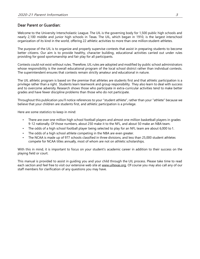## Dear Parent or Guardian:

Welcome to the University Interscholastic League. The UIL is the governing body for 1,500 public high schools and nearly 2,100 middle and junior high schools in Texas. The UIL, which began in 1910, is the largest interschool organization of its kind in the world, offering 22 athletic activities to more than one million student-athletes.

The purpose of the UIL is to organize and properly supervise contests that assist in preparing students to become better citizens. Our aim is to provide healthy, character building, educational activities carried out under rules providing for good sportsmanship and fair play for all participants.

Contests could not exist without rules. Therefore, UIL rules are adopted and modified by public school administrators whose responsibility is the overall educational program of the local school district rather than individual contests. The superintendent ensures that contests remain strictly amateur and educational in nature.

The UIL athletic program is based on the premise that athletes are students first and that athletic participation is a privilege rather than a right. Students learn teamwork and group responsibility. They also learn to deal with success and to overcome adversity. Research shows those who participate in extra-curricular activities tend to make better grades and have fewer discipline problems than those who do not participate.

Throughout this publication you'll notice references to your "student athlete", rather than your "athlete" because we believe that your children are students first, and athletic participation is a privilege.

Here are some statistics to keep in mind:

- There are over one million high school football players and almost one million basketball players in grades 9-12 nationally. Of those numbers, about 250 make it to the NFL, and about 50 make an NBA team.
- The odds of a high school football player being selected to play for an NFL team are about 6,000 to 1.
- The odds of a high school athlete competing in the NBA are even greater.
- The NCAA is made up of 977 schools classified in three divisions, and less than 25,000 student athletes compete for NCAA titles annually, most of whom are not on athletic scholarships.

With this in mind, it is important to focus on your student's academic career in addition to their success on the playing field or court.

This manual is provided to assist in guiding you and your child through the UIL process. Please take time to read each section and feel free to visit our extensive web site at [www.uiltexas.org.](http://www.uiltexas.org/) Of course you may also call any of our staff members for clarification of any questions you may have.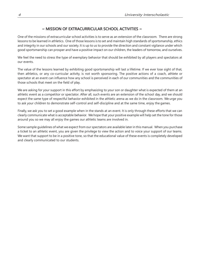## $\sim$  MISSION OF EXTRACURRICULAR SCHOOL ACTIVITIES  $\sim$

<span id="page-3-0"></span>One of the missions of extracurricular school activities is to serve as an extension of the classroom. There are strong lessons to be learned in athletics. One of those lessons is to set and maintain high standards of sportsmanship, ethics and integrity in our schools and our society. It is up to us to provide the direction and constant vigilance under which good sportsmanship can prosper and have a positive impact on our children, the leaders of tomorrow, and ourselves.

We feel the need to stress the type of exemplary behavior that should be exhibited by all players and spectators at our events.

The value of the lessons learned by exhibiting good sportsmanship will last a lifetime. If we ever lose sight of that, then athletics, or any co-curricular activity, is not worth sponsoring. The positive actions of a coach, athlete or spectator at an event can influence how any school is perceived in each of our communities and the communities of those schools that meet on the field of play.

We are asking for your support in this effort by emphasizing to your son or daughter what is expected of them at an athletic event as a competitor or spectator. After all, such events are an extension of the school day, and we should expect the same type of respectful behavior exhibited in the athletic arena as we do in the classroom. We urge you to ask your children to demonstrate self-control and self-discipline and at the same time, enjoy the games.

Finally, we ask you to set a good example when in the stands at an event. It is only through these efforts that we can clearly communicate what is acceptable behavior. We hope that your positive example will help set the tone for those around you so we may all enjoy the games our athletic teams are involved in.

Some sample guidelines of what we expect from our spectators are available later in this manual. When you purchase a ticket to an athletic event, you are given the privilege to view the action and to voice your support of our teams. We want that support to be in a positive tone, so that the educational value of these events is completely developed and clearly communicated to our students.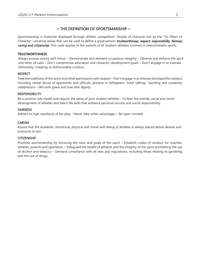## $\sim$  THE DEFINITION OF SPORTSMANSHIP  $\sim$

<span id="page-4-0"></span>Sportsmanship is character displayed through athletic competition. People of character live by the "Six Pillars of Character," universal values that can be used to define a good person: trustworthiness, respect, responsibility, fairness, caring and citizenship. This code applies to the parents of all student-athletes involved in interscholastic sports.

### **TRUSTWORTHINESS**

Always pursue victory with honor – Demonstrate and demand scrupulous integrity – Observe and enforce the spirit and letter of rules – Don't compromise education and character-development goals – Don't engage in or tolerate dishonesty, cheating or dishonorable conduct.

### **RESPECT**

Treat the traditions of the sport and other participants with respect – Don't engage in or tolerate disrespectful conduct including verbal abuse of opponents and officials, profane or belligerent "trash talking," taunting and unseemly celebrations – Win with grace and lose with dignity.

### **RESPONSIBILITY**

Be a positive role model and require the same of your student athletes – Further the mental, social and moral development of athletes and teach life skills that enhance personal success and social responsibility.

### FAIRNESS

Adhere to high standards of fair play – Never take unfair advantage–– Be open-minded.

### CARING

Assure that the academic, emotional, physical and moral well-being of athletes is always placed above desires and pressures to win.

### **CITIZENSHIP**

Promote sportsmanship by honoring the rules and goals of the sport – Establish codes of conduct for coaches, athletes, parents and spectators – Safeguard the health of athletes and the integrity of the sport prohibiting the use of alcohol and tobacco – Demand compliance with all laws and regulations, including those relating to gambling and the use of drugs.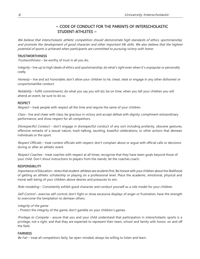# ~ CODE OF CONDUCT FOR THE PARENTS OF INTERSCHOLASTIC STUDENT-ATHLETES ~

<span id="page-5-0"></span>We believe that interscholastic athletic competition should demonstrate high standards of ethics, sportsmanship, and promote the development of good character and other important life skills. We also believe that the highest potential of sports is achieved when participants are committed to pursuing victory with honor.

### **TRUSTWORTHINESS**

Trustworthiness – be worthy of trust in all you do.

Integrity – live up to high ideals of ethics and sportsmanship; do what's right even when it's unpopular or personally costly.

Honesty – live and act honorable; don't allow your children to lie, cheat, steal or engage in any other dishonest or unsportsmanlike conduct.

Reliability – fulfill commitments; do what you say you will do; be on time; when you tell your children you will attend an event, be sure to do so.

### **RESPECT**

Respect – treat people with respect all the time and require the same of your children.

Class – live and cheer with class; be gracious in victory and accept defeat with dignity; compliment extraordinary performance; and show respect for all competitors.

Disrespectful Conduct – don't engage in disrespectful conduct of any sort including profanity, obscene gestures, offensive remarks of a sexual nature, trash-talking, taunting, boastful celebrations, or other actions that demean individuals or the sport.

Respect Officials - treat contest officials with respect; don't complain about or argue with official calls or decisions during or after an athletic event.

Respect Coaches - treat coaches with respect at all times; recognize that they have team goals beyond those of your child. Don't shout instructions to players from the stands; let the coaches coach.

### **RESPONSIBILITY**

Importance of Education-stress that student-athletes are students first. Be honest with your children about the likelihood of getting an athletic scholarship or playing on a professional level. Place the academic, emotional, physical and moral well-being of your children above desires and pressures to win.

Role-modeling - Consistently exhibit good character and conduct yourself as a role model for your children.

Self-Control – exercise self-control; don't fight or show excessive displays of anger or frustration; have the strength to overcome the temptation to demean others.

### Integrity of the game

– Protect the integrity of the game; don't gamble on your children's games.

Privilege to Compete – assure that you and your child understand that participation in interscholastic sports is a privilege, not a right, and that they are expected to represent their team, school and family with honor, on and off the field.

### FAIRNESS

Be Fair – treat all competitors fairly; be open-minded; always be willing to listen and learn.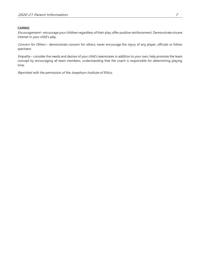## CARING

Encouragement-encourage your children regardless of their play; offer positive reinforcement. Demonstrate sincere interest in your child's play.

Concern for Others - demonstrate concern for others; never encourage the injury of any player, officials or follow spectator.

Empathy – consider the needs and desires of your child's teammates in addition to your own; help promote the team concept by encouraging all team members, understanding that the coach is responsible for determining playing time.

Reprinted with the permission of the Josephson Institute of Ethics.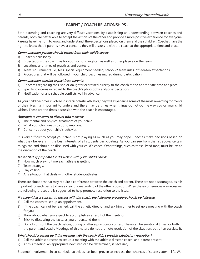# $\sim$  PARENT / COACH RELATIONSHIPS  $\sim$

<span id="page-7-0"></span>Both parenting and coaching are very difficult vocations. By establishing an understanding between coaches and parents, both are better able to accept the actions of the other and provide a more positive experience for everyone. Parents have the right to know, and understand, the expectations placed on them and their children. Coaches have the right to know that if parents have a concern, they will discuss it with the coach at the appropriate time and place.

## Communication parents should expect from their child's coach:

- 1) Coach's philosophy.
- 2) Expectations the coach has for your son or daughter, as well as other players on the team.
- 3) Locations and times of practices and contests.
- 4) Team requirements, i.e., fees, special equipment needed, school & team rules, off-season expectations.
- 5) Procedures that will be followed if your child becomes injured during participation.

## Communication coaches expect from parents:

- 1) Concerns regarding their son or daughter expressed directly to the coach at the appropriate time and place.
- 2) Specific concerns in regard to the coach's philosophy and/or expectations.
- 3) Notification of any schedule conflicts well in advance.

As your child becomes involved in interscholastic athletics, they will experience some of the most rewarding moments of their lives. It's important to understand there may be times when things do not go the way you or your child wishes. These are the times discussion with the coach is encouraged.

## Appropriate concerns to discuss with a coach:

- 1) The mental and physical treatment of your child.
- 2) What your child needs to do to improve.
- 3) Concerns about your child's behavior.

It is very difficult to accept your child is not playing as much as you may hope. Coaches make decisions based on what they believe is in the best interests of all students participating. As you can see from the list above, certain things can and should be discussed with your child's coach. Other things, such as those listed next, must be left to the discretion of the coach.

### Issues NOT appropriate for discussion with your child's coach:

- 1) How much playing time each athlete is getting.
- 2) Team strategy.
- 3) Play calling.
- 4) Any situation that deals with other student-athletes.

There are situations that may require a conference between the coach and parent. These are not discouraged, as it is important for each party to have a clear understanding of the other's position. When these conferences are necessary, the following procedure is suggested to help promote resolution to the issue.

## If a parent has a concern to discuss with the coach, the following procedure should be followed:

- 1) Call the coach to set up an appointment.
- 2) If the coach cannot be reached, call the athletic director and ask him or her to set up a meeting with the coach for you.
- 3) Think about what you expect to accomplish as a result of the meeting.
- 4) Stick to discussing the facts, as you understand them.
- 5) Do not confront the coach before, during or after a practice or contest. These can be emotional times for both the parent and coach. Meetings of this nature do not promote resolution of the situation, but often escalate it.

## What should a parent do if the meeting with the coach didn't provide satisfactory resolution?

- 1) Call the athletic director to set up a meeting with the athletic director, coach, and parent present.
- 2) At this meeting, an appropriate next step can be determined, if necessary.

Students' involvement in co-curricular activities has been proven to increase their chances of success later in life. We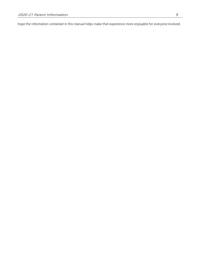hope the information contained in this manual helps make that experience more enjoyable for everyone involved.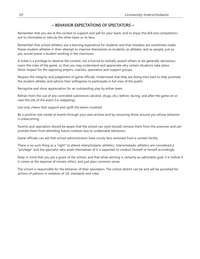## ~ BEHAVIOR EXPECTATIONS OF SPECTATORS ~

<span id="page-9-0"></span>Remember that you are at the contest to support and yell for your team, and to enjoy the skill and competitionnot to intimidate or ridicule the other team or its fans.

Remember that school athletics are a learning experience for students and that mistakes are sometimes made. Praise student-athletes in their attempt to improve themselves as students, as athletes, and as people, just as you would praise a student working in the classroom.

A ticket is a privilege to observe the contest, not a license to verbally assault others or be generally obnoxious. Learn the rules of the game, so that you may understand and appreciate why certain situations take place. Show respect for the opposing players, coaches, spectators and support groups.

Respect the integrity and judgement of game officials. Understand that they are doing their best to help promote the student-athlete, and admire their willingness to participate in full view of the public.

Recognize and show appreciation for an outstanding play by either team.

Refrain from the use of any controlled substances (alcohol, drugs, etc.) before, during, and after the game on or near the site of the event (i.e. tailgating).

Use only cheers that support and uplift the teams involved.

Be a positive role model at events through your own actions and by censuring those around you whose behavior is unbecoming.

Parents and spectators should be aware that the school can (and should) remove them from the premises and can prohibit them from attending future contests due to undesirable behaviors.

Game officials can ask that school administrators have unruly fans removed from a contest facility.

There is no such thing as a "right" to attend interscholastic athletics. Interscholastic athletics are considered a "privilege" and the spectator who avails themselves of it is expected to conduct himself or herself accordingly.

Keep in mind that you are a guest of the school, and that while winning is certainly an admirable goal, it is hollow if it comes at the expense of morals, ethics, and just plain common sense.

The school is responsible for the behavior of their spectators. The school district can be and will be punished for actions of patrons in violation of UIL standards and rules.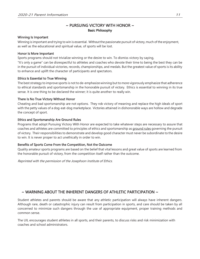# $\sim$  PURSUING VICTORY WITH HONOR  $\sim$ Basic Philosophy

### <span id="page-10-0"></span>Winning Is Important

Winning is important and trying to win is essential. Without the passionate pursuit of victory, much of the enjoyment, as well as the educational and spiritual value, of sports will be lost.

## Honor Is More Important

Sports programs should not trivialize winning or the desire to win. To dismiss victory by saying,

"It's only a game" can be disrespectful to athletes and coaches who devote their time to being the best they can be in the pursuit of individual victories, records, championships, and medals. But the greatest value of sports is its ability to enhance and uplift the character of participants and spectators.

## Ethics Is Essential to True Winning

The best strategy to improve sports is not to de-emphasize winning butto more vigorously emphasize that adherence to ethical standards and sportsmanship in the honorable pursuit of victory. Ethics is essential to winning in its true sense. It is one thing to be declared the winner; it is quite another to really win.

## There Is No True Victory Without Honor

Cheating and bad sportsmanship are not options. They rob victory of meaning and replace the high ideals of sport with the petty values of a dog-eat-dog marketplace. Victories attained in dishonorable ways are hollow and degrade the concept of sport.

## Ethics and Sportsmanship Are Ground Rules

Programs that adopt Pursuing Victory With Honor are expected to take whatever steps are necessary to assure that coaches and athletes are committed to principles of ethics and sportsmanship as ground rules governing the pursuit of victory. Their responsibilities to demonstrate and develop good character must never be subordinate to the desire to win. It is never proper to act unethically in order to win.

## Benefits of Sports Come From the Competition, Not the Outcome

Quality amateur sports programs are based on the belief that vital lessons and great value of sports are learned from the honorable pursuit of victory, from the competition itself rather than the outcome.

Reprinted with the permission of the Josephson Institute of Ethics.

# $\sim$  WARNING ABOUT THE INHERENT DANGERS OF ATHLETIC PARTICIPATION  $\sim$

Student athletes and parents should be aware that any athletic participation will always have inherent dangers. Although rare, death or catastrophic injury can result from participation in sports, and care should be taken by all concerned to minimize such dangers through the use of appropriate equipment, proper training methods and common sense.

The UIL encourages student athletes in all sports, and their parents, to discuss risks and risk minimization with coaches and school administrators.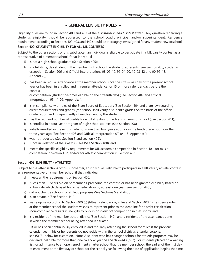## $\sim$  GENERAL ELIGIBILITY RULES  $\sim$

<span id="page-11-0"></span>Eligibility rules are found in Section 400 and 403 of the Constitution and Contest Rules. Any question regarding a student's eligibility, should be addressed to the school coach, principal and/or superintendent. Residence requirements according to Sections 400, 403, and 442 should be thoroughly investigated for any student new to school.

### Section 400: STUDENT'S ELIGIBILITY FOR ALL UIL CONTESTS

Subject to the other sections of this subchapter, an individual is eligible to participate in a UIL varsity contest as a representative of a member school if that individual:

- (a) is not a high school graduate (See Section 405);
- (b) is a full-time, day student in the member high school the student represents (See Section 406, academic exception, Section 906 and Official Interpretations 08-09-10, 99-04-20, 10-03-12 and 00-99-13, Appendix I);
- (c) has been in regular attendance at the member school since the sixth-class day of the present school year or has been in enrolled and in regular attendance for 15 or more calendar days before the contest

or competition (student becomes eligible on the fifteenth day) (See Section 407 and Official Interpretation 95-11-09, Appendix I);

- (d) is in compliance with rules of the State Board of Education; (See Section 404 and state law regarding credit requirements and grades (the school shall verify a student's grades on the basis of the official grade report and independently of involvement by the student);
- (e) has the required number of credits for eligibility during the first six weeks of school (See Section 411);
- (f) is enrolled in a four-year program of high school courses (See Section 408);
- (g) initially enrolled in the ninth grade not more than four years ago nor in the tenth grade not more than three years ago (See Section 408 and Official Interpretation 07-04-18, Appendix I);
- (h) was not recruited (See Section 5 and section 409);
- $\emptyset$  is not in violation of the Awards Rules (See Section 480); and
- (j) meets the specific eligibility requirements for UIL academic competition in Section 401, for music competition in Section 402, and/or for athletic competition in Section 403.

## Section 403: ELIGIBILITY - ATHLETICS

Subject to the other sections of this subchapter, an individual is eligible to participate in a UIL varsity athletic contest as a representative of a member school if that individual:

- (a) meets all the requirements of Section 400;
- (b) is less than 19 years old on September 1 preceding the contest, or has been granted eligibility based on a disability which delayed his or her education by at least one year (See Section 446);
- (c) did not change schools for athletic purposes (See Sections 5 and 443);
- (d) is an amateur (See Section 441);
- (e) was eligible according to Section 400 (c) (fifteen calendar day rule) and Section 403 (f) (residence rule) at the member school the student wishes to represent prior to the deadline for district certification (non-compliance results in ineligibility only in post-district competition in that sport); and
- (f) is a resident of the member school district (See Section 442), and a resident of the attendance zone in which the member school being attended is situated,

(1) or has been continuously enrolled in and regularly attending the school for at least the previous calendar year if his or her parents do not reside within the school district's attendance zone; see (5) (B) below for exception. Note: A student who has changed schools for athletic purposes may be declared ineligible for more than one calendar year. See Section 443 (f) (3). For students placed on a waiting list for admittance to an open enrollment charter school that is a member school, the earlier of the first day of enrollment or the first day of school for the school year following the date of application begins the time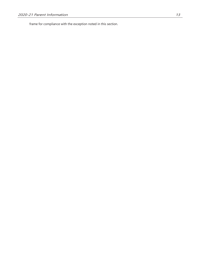frame for compliance with the exception noted i n this section.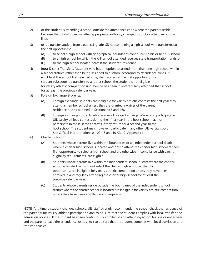- (2) or the student is attending a school outside the attendance zone where the parents reside because the school board or other appropriate authority changed district or attendance zone lines.
- (3) or is a transfer student from a public 8-grade ISD not containing a high school, who transferred at the first opportunity:
	- (A) to select a high school with geographical boundaries contiguous to his or her K-8 school;
	- (B) to a high school for which the K-8 school attended receives state transportation funds; or
	- (C) to the high school located nearest the student's residence.
- (4) Intra-District Transfers. A student who has an option to attend more than one high school within a school district, rather than being assigned to a school according to attendance zones, is eligible at the school first selected if he/she transfers at the first opportunity. If a student subsequently transfers to another school, the student is not eligible for varsity athletic competition until he/she has been in and regularly attended that school for at least the previous calendar year.
- (5) Foreign Exchange Students.
	- (A) Foreign exchange students are ineligible for varsity athletic contests the first year they attend a member school unless they are granted a waiver of the parent residence rule as outlined in Sections 465 and 468.
	- (B) Foreign exchange students who receive a Foreign Exchange Waiver and participate in UIL varsity athletic contests during their first year in the host school may not participate in those same contests if they return for a second year to the host school. The student may, however, participate in any other UIL varsity sport. See Official Interpretations 01-09-18 and 10-03-12, Appendix I
- (6) Charter Schools:
	- (A) Students whose parents live within the boundaries of an independent school district where a charter high school is located and opt to attend the charter high school at their first opportunity to select a high school and are otherwise in compliance with varsity eligibility requirements, are eligible.
	- (B) Students whose parents live within the independent school district where the charter school is located, who do not select the charter high school at their first opportunity, are ineligible for varsity athletic competition unless they have been enrolled in and regularly attending the charter high school for at least the previous calendar year.
	- (C) Students whose parents reside outside the boundaries of the independent school district where the charter school is located are ineligible for varsity athletic competition unless they have been enrolled in and regularly.

NOTE: Any time a student changes schools, UIL staff strongly recommends the school check the residence of the parent(s) for varsity athletic participation and to be sure that the student complies with local transfer and admission policies. If the student has been continuously enrolled in and attending school for one calendar year and the parents leave the attendance zone, check to be sure that the student complies with local admission and transfer policies.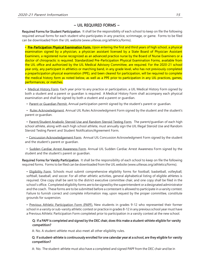## $\sim$  UIL REQUIRED FORMS  $\sim$

Required Forms for Student Participation. It shall be the responsibility of each school to keep on file the following required annual forms for each student who participates in any practice, scrimmage, or game. Forms to be filed can be downloaded from the UIL website [\(www.uiltexas.org/athletics/forms\).](http://www.uiltexas.org/athletics/forms))

• Pre-Participation Physical Examination Form. Upon entering the first and third years of high school, a physical examination signed by a physician, a physician assistant licensed by a State Board of Physician Assistant Examiners, a registered nurse recognized as an advanced practice nurse by the Board of Nurse Examiners or a doctor of chiropractic is required. Standardized Pre-Participation Physical Examination Forms, available from the UIL office and authorized by the UIL Medical Advisory Committee, are required. For the 2020-21 school year only, any participant in athletics or marching band, in any grade level, who has not previously completed a preparticipation physical examination (PPE), and been cleared for participation, will be required to complete the medical history form as noted below, as well as a PPE prior to participation in any UIL practices, games, performances, or matches.

• Medical History Form. Each year prior to any practice or participation, a UIL Medical History Form signed by both a student and a parent or guardian is required. A Medical History Form shall accompany each physical examination and shall be signed by both a student and a parent or guardian.

• Parent or Guardian Permit. Annual participation permit signed by the student's parent or guardian.

• Rules Acknowledgment. Annual UIL Rules Acknowledgment Form signed by the student and the student's parent or guardian.

• Parent/Student Anabolic Steroid Use and Random Steroid Testing Form. The parent/guardian of each high school athlete, along with each high school athlete, must annually sign the UIL Illegal Steroid Use and Random Steroid Testing Parent and Student Notification/Agreement Form.

• Concussion Acknowledgement Form. Annual UIL Concussion Acknowledgment Form signed by the student and the student's parent or guardian.

• Sudden Cardiac Arrest Awareness Form. Annual UIL Sudden Cardiac Arrest Awareness Form signed by the student and the student's parent or guardian.

Required Forms for Varsity Participation. It shall be the responsibility of each school to keep on file the following required forms. Forms to be filed can be downloaded from the UIL website [\(www.uiltexas.org/athletics/forms\).](http://www.uiltexas.org/athletics/forms))

• Eligibility Form. Schools must submit comprehensive eligibility forms for football, basketball, volleyball, softball, baseball, and soccer. For all other athletic activities, general alphabetical listing of eligible athletes is required. One copy shall be sent to the district executive committee chair, and one copy shall be filed in the school's office. Completed eligibility forms are tobe signedby the superintendent or adesignated administrator and the coach. These forms are to be submitted before a contestant is allowed to participate in a varsity contest. Failure to furnish correct and complete information may, upon request by the proper committee, constitute grounds for suspension.

• Previous Athletic Participation Form (PAPF). New students in grades 9-12 who represented their former school in a varsity or sub-varsity athletic contest or practice in grades 8-12 in any previous school year must have a Previous Athletic Participation Form completed prior to participation in a varsity contest at the new school.

## Q: If a PAPF is completed and signed by the DEC chair, does this make a student-athlete eligible for varsity competition?

A: No. A student-athlete must also meet all other eligibility rules.

### Q: If a student-athlete is continuously enrolled for one calendar year at a school, are they eligible for varsity competition?

A: No. The student-athlete must also have a completed and signed PAPF from the DEC chair and be in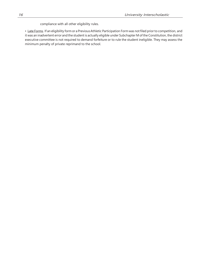compliance with all other eligibility rules.

• Late Forms. If an eligibility form or a PreviousAthletic Participation Form was notfiled prior to competition, and it was an inadvertent error and the student is actually eligible under Subchapter M of the Constitution, the district executive committee is not required to demand forfeiture or to rule the student ineligible. They may assess the minimum penalty of private reprimand to the school.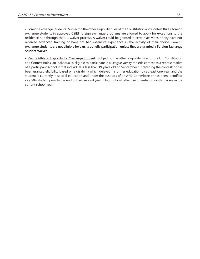• Foreign Exchange Students. Subject to the other eligibility rules of the Constitution and Contest Rules, foreign exchange students in approved CSIET foreign exchange programs are allowed to apply for exceptions to the residence rule through the UIL waiver process. A waiver could be granted in certain activities if they have not received advanced training or have not had extensive experience in the activity of their choice. Foreign exchange students are not eligible for varsity athletic participation unless they are granted a Foreign Exchange Student Waiver.

• Varsity Athletic Eligibility for Over-Age Student. Subject to the other eligibility rules of the UIL Constitution and Contest Rules, an individual is eligible to participate in a League varsity athletic contest as a representative of a participant school if that individual is less than 19 years old on September 1 preceding the contest; or has been granted eligibility based on a disability which delayed his or her education by at least one year, and the student is currently in special education and under the auspices of an ARD Committee or has been identified as a 504 student prior to the end of their second year in high school (effective for entering ninth graders in the current school year).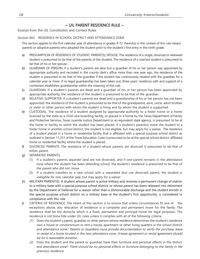# $\sim$  UIL PARENT RESIDENCE RULE  $\sim$

Excerpt from the UIL Constitution and Contest Rules

### Section 442: RESIDENCE IN SCHOOL DISTRICT AND ATTENDANCE ZONE

This section applies to the first calendar year of attendance in grades 9-12. Parent(s) in the context of this rule means parents or adoptive parents who adopted the student prior to the student's first entry in the ninth grade.

- (a) PRESUMPTION OF RESIDENCE OF STUDENT, PARENT(S), SPOUSE. The residence of a single, divorced or widowed student is presumed to be that of the parents of the student. The residence of a married student is presumed to be that of his or her spouse.
- (b) GUARDIAN OF PERSON. If a student's parents are alive but a guardian of his or her person was appointed by appropriate authority and recorded in the county clerk's office more than one year ago, the residence of the student is presumed to be that of the guardian if the student has continuously resided with the guardian for a calendar year or more. If no legal guardianship has been taken out, three years' residence with and support of a contestant establishes guardianship within the meaning of this rule.
- (c) GUARDIAN. If a student's parents are dead and a guardian of his or her person has been appointed by appropriate authority, the residence of the student is presumed to be that of the guardian.
- (d) RELATIVE; SUPPORTER. If a student's parents are dead and a guardianship of his or her person has not been appointed, the residence of the student is presumed to be that of the grandparent, aunt, uncle, adult brother or sister or other person with whom the student is living and by whom the student is supported.
- (e) CUSTODIAL. The residence of a student assigned by appropriate authority to a foster home or a home licensed by the state as a child care boarding facility, or placed in a home by the Texas Department of Family and Protective Services, Texas Juvenile Justice Department or an equivalent state agency, is presumed to be at the home or facility to which the student has been placed. If a student's parent(s) move the student to a foster home in another school district, the student is not eligible, but may apply for a waiver. The residence of a student placed in a home or residential facility that is affiliated with a special purpose school district as outlined in Section 11.351 of the Texas Education Code is presumed to be at the special school district-affiliated home or residential facility where the student is placed.
- (f) DIVORCED PARENTS. The residence of a student whose parents are divorced is presumed to be that of either parent.
- (g) SEPARATED PARENTS.
	- (1) If a student's parents separate (and are not divorced), and if one parent remains in the attendance zone where the student has been attending school, the student's residence is presumed to be that of the parent who did not move.
	- (2) If a student transfers to a new school with a separated (but not divorced) parent, the student is ineligible for one calendar year, but may apply for a waiver.
- (h) MILITARY PARENT(S). A student whose parent is active military and receives a permanent change of station to a military base with a special purpose school district, or whose parent has been released into retirement by the Department of Defense for a reason other than a dishonorable discharge and the student enrolls in the special purpose school district on a military base at the student's first opportunity, is considered in compliance with this rule.
- (i) CRITERIA OF RESIDENCE. The intent of this section is to ensure that unless circumstances fit one of the exceptions above, any relocation of residence is a complete and permanent move for the family. The residence shall be the domicile which is a fixed, permanent and principal home for legal purposes. The residence is not bona fide under UIL rules unless it complies with all of the following criteria.
	- (1) Does the student's parent, guardian or other person whose residence determines the student's residence own a house or condominium or rent a house, apartment or other living quarters in the school district and attendance zone? Parents or Guardians must provide documentation to verify the purchase, lease or rental of a home located in the new attendance zone. A lease agreement or rental agreement should be for <sup>a</sup> reasonable duration.
	- (2) Does the student and the parent or guardian have their furniture and personal effects in the district and attendance zone? There should be no personal effects or furniture belonging to the family in the previous residence.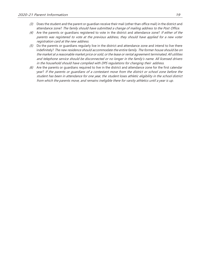- (3) Does the student and the parent or quardian receive their mail (other than office mail) in the district and attendance zone? The family should have submitted a change of mailing address to the Post Office.
- (4) Are the parents or guardians registered to vote in the district and attendance zone? If either of the parents was registered to vote at the previous address, they should have applied for <sup>a</sup> new voter registration card at the new address.
- $(5)$  Do the parents or guardians regularly live in the district and attendance zone and intend to live there indefinitely? The new residence should accommodate the entire family. The former house should be on the market at a reasonable market price or sold, or the lease or rental agreement terminated. All utilities and telephone service should be disconnected or no longer in the family's name. All licensed drivers in the household should have complied with DPS regulations for changing their address.
- $(6)$  Are the parents or guardians required to live in the district and attendance zone for the first calendar year? If the parents or guardians of a contestant move from the district or school zone before the student has been in attendance for one year, the student loses athletic eligibility in the school district from which the parents move, and remains ineligible there for varsity athletics until a year is up.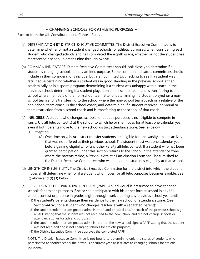# $\sim$  CHANGING SCHOOLS FOR ATHLETIC PURPOSES  $\sim$

<span id="page-19-0"></span>Excerpt from the UIL Constitution and Contest Rules

- (a) DETERMINATION BY DISTRICT EXECUTIVE COMMITTEE. The District Executive Committee is to determine whether or not a student changed schools for athletic purposes, when considering each student who changed schools and has completed the eighth grade, whether or not the student has represented a school in grades nine through twelve.
- (b) COMMON INDICATORS. District Executive Committees should look closely to determine if a student is changing schools for any athletic purpose. Some common indicators committees should include in their considerations include, but are not limited to: checking to see if a student was recruited; ascertaining whether a student was in good standing in the previous school, either academically or in a sports program; determining if a student was unhappy with a coach in the previous school; determining if a student played on a non-school team and is transferring to the school where members of the non-school team attend; determining if a student played on a nonschool team and is transferring to the school where the non-school team coach or a relative of the non-school team coach, is the school coach; and determining if a student received individual or team instruction from a school coach and is transferring to the school of that coach.
- (c) INELIGIBLE. A student who changes schools for athletic purposes is not eligible to compete in varsityUIL athletic contest(s) at the school to which he or she moves for at least one calendar year, even if both parents move to the new school district attendance zone. See (e) below. (1) Exception:
	- (A) One time only, intra-district transfer students are eligible for one varsity athletic activity that was not offered at their previous school. The student must wait one calendar year before gaining eligibility for any other varsity athletic contest. If a student who has been granted participation under this section returns to the school in the attendance zone where the parents reside, a Previous Athletic Participation Form shall be furnished to the District Executive Committee, who will rule on the student's eligibility at that school.
- (d) LENGTH OF INELIGIBILITY. The District Executive Committee for the district into which the student moves shall determine when or if a student who moves for athletic purposes becomes eligible. See (c) above and (f) (3) below.
- (e) PREVIOUS ATHLETIC PARTICIPATION FORM (PAPF). An individual is presumed to have changed schools for athletic purposes if he or she participated with his or her former school in any UIL athleticcontest or practice in grades eight through twelve during any previous school year until:
	- (1) the student's parents change their residence to the new school or attendance zone; (See Section 442(g) for a student who changes residence with a separated parent);
	- (2) the superintendent (or designated administrator) and principal and/or coach of the previous school sign a PAPF stating that the student was not recruited to the new school and did not change schools or attendance zones for athletic purposes;
	- (3) the superintendent (or designated administrator) of the new school signs a PAPF stating that the student was not recruited and is not changing schools for athletic purposes;
	- (4) the District Executive Committee approves the completed PAPF.

NOTE: The District Executive Committee is not bound to determining only the status of students who participated at another school the previous or current year, as it relates to changing schools for athletic purposes.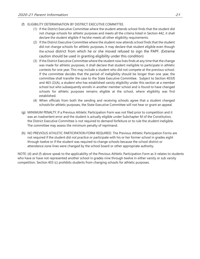- (f) ELIGIBILITY DETERMINATION BY DISTRICT EXECUTIVE COMMITTEE.
	- (1) If the District Executive Committee where the student attends school finds that the student did not change schools for athletic purposes and meets all the criteria listed in Section 442, it shall declare the student eligible if he/she meets all other eligibility requirements.
	- (2) If the District Executive Committee where the student now attends school finds that the student did not change schools for athletic purposes, it may declare that student eligible even though the school district from which he or she moved refused to sign the PAPF. (Extreme caution should be used in granting eligibility under this condition)
	- (3) If the District Executive Committee where the student now lives finds at any time that the change was made for athletic purposes, it shall declare that student ineligible to participate in athletic contests for one year. This may include a student who did not compete at the previous school. If the committee decides that the period of ineligibility should be longer than one year, the committee shall transfer the case to the State Executive Committee. Subject to Section 403(f) and 463 (2)(A), a student who has established varsity eligibility under this section at a member school but who subsequently enrolls in another member school and is found to have changed schools for athletic purposes remains eligible at the school, where eligibility was first established.
	- (4) When officials from both the sending and receiving schools agree that a student changed schools for athletic purposes, the State Executive Committee will not hear or grant an appeal.
- (g) MINIMUM PENALTY. If a Previous Athletic Participation Form was not filed prior to competition and it was an inadvertent error and the student is actually eligible under Subchapter M of the Constitution, the District Executive Committee is not required to demand forfeiture or to rule the student ineligible. The committee may assess the minimum penalty of reprimand.
- (h) NO PREVIOUS ATHLETIC PARTICIPATION FORM REQUIRED. The Previous Athletic Participation Forms are not required if the student did not practice or participate with his or her former school in grades eight through twelve or if the student was required to change schools because the school district or attendance zone lines were changed by the school board or other appropriate authority.

NOTE: (d) and (f) above speak to the applicability of the Previous Athletic Participation Form as it relates to students who have or have not represented another school in grades nine through twelve in either varsity or sub varsity competition. Section 403 (c) prohibits students from changing schools for athletic purposes.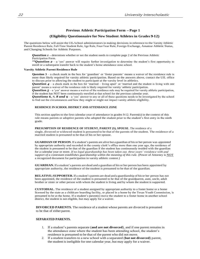### **Previous Athletic Participation Form -‐ Page 1**

#### **(Eligibility Questionnaire for New Student Athletes in Grades 9- ‐12)**

The questions below will assist the UIL/school administrators in making decisions in reference to the Varsity Athletic Parent Residence Rule, Full-Time Student Rule, Age Rule, Four-Year Rule, Foreign Exchange, Amateur Athletic Status, and Changing Schools for Athletic Purposes.

**Question 1** - determines whether or not the student needs to complete page 2 of the Previous Athletic Participation Form.

*\*\*Question 2* – a 'yes' answer will require further investigation to determine the student's first opportunity to enroll or a subsequent transfer back to the student's home attendance zone school.

#### **Varsity Athletic Parent Residence Rule**

**Question 3** – a check mark in the box for 'guardian' or 'foster parents' means a waiver of the residence rule is more than likely required for varsity athletic participation. Based on the answers above, contact the UIL office to discuss prior to allowing the student to participate at the varsity level in athletics.

*Question 4* – a check mark in the box for 'married – living apart' or 'married and the student is living with one parent' means a waiver of the residence rule is likely required for varsity \athletic participation.

**Question 5** – a 'yes' answer means a waiver of the residence rule may be required for varsity athletic participation, if the student has NOT been continuously enrolled at that school for the previous calendar year.

*Questions 6, 7, 8 and 9 – a 'yes' answer to any or all of these questions needs to be investigated by the school* to find out the circumstances and how they might or might not impact varsity athletic eligibility.

#### **RESIDENCE IN SCHOOL DISTRICT AND ATTENDANCE ZONE**

This section applies to the first calendar year of attendance in grades 9-12. Parent(s) in the context of this rule means parents or adoptive parents who adopted the student prior to the student's first entry in the ninth grade.

#### **PRESUMPTION OF RESIDENCE OF STUDENT, PARENT (S), SPOUSE**. The residence of a

single, divorced or widowed student is presumed to be that of the parents of the student. The residence of a married student is presumed to be that of his or her spouse.

**GUARDIAN OF PERSON**. If a student's parents are alive but a guardian of his or her person was appointed by appropriate authority and recorded in the county clerk's office more than one year ago, the residence of the student is presumed to be that of the guardian if the student has continuously resided with the guardian for a calendar year or more. *If no legal guardianship has been taken out, three years' residence with and support of a contestant establishes guardianship within the meaning of this rule.* (Power of Attorney is NOT a recognized document for participation in varsity athletic contest.)

**GUARDIAN.**If a student's parents are dead and a guardian of his or her person has been appointed by appropriate authority, the residence of the student is presumed to be that of the guardian.

**RELATIVE; SUPPORTER.** If a student's parents are dead and a guardianship of his or her person has not been appointed, the residence of the student is presumed to be that of the grandparent, aunt, uncle, adult brother or sister or other person with whom the student is living and by whom the student is supported.

**CUSTODIAL.** The residence of a student assigned by appropriate authority to a foster home or a home licensed by the state as a childcare boarding facility, or placed in a home by the Texas Youth Commission, is presumed to be at the home. If a student's parent(s) move the student to a foster home in another school district, the student is not eligible, but may apply for a waiver.

**DIVORCED PARENTS.** The residence of a student whose parents are divorced is presumed to be that of either parent.

#### **SEPARATED PARENTS.**

- 1. If a student's parents separate (**and are not divorced**), and if one parent remains in the attendance zone where the student has been attending school, the student's residence is presumed to be that of the parent who did not move.
- 2. If a student transfers to a new school with a separated (**but not divorced**) parent, the student is ineligible for one calendar year, but may apply for a waiver.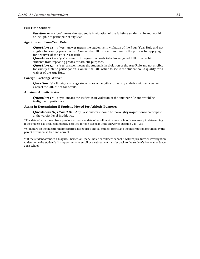#### **Full-Time Student**

**Question**  $10 - a$  'yes' means the student is in violation of the full-time student rule and would be ineligible to participate at any level.

#### **Age Rule and Four--‐Year Rule**

*Question 11* – a 'yes' answer means the student is in violation of the Four-Year Rule and not eligible for varsity participation. Contact the UIL office to inquire on the process for applying for a waiver of the Four-Year Rule.

**Question 12** – a 'yes' answer to this question needs to be investigated. UIL rule prohibit students from repeating grades for athletic purposes.

**Question 13** – a 'yes' answer means the student is in violation of the Age Rule and not eligible for varsity athletic participation. Contact the UIL office to see if the student could qualify for a waiver of the Age Rule.

#### **Foreign Exchange Waiver**

**Question 14** – Foreign exchange students are not eligible for varsity athletics without a waiver. Contact the UIL office for details.

#### **Amateur Athletic Status**

**Question 15** – a 'yes' means the student is in violation of the amateur rule and would be ineligible to participate.

#### **Assist in Determining if Student Moved for Athletic Purposes**

*Questions* **16, 17 and 18** – Any 'yes' answers should be thoroughly in question to participate at the varsity level inathletics.

\*The date of withdrawal from previous school and date of enrollment in new school is necessary in determining if the student has been continuously enrolled for one calendar if the answer to question 2 is 'yes'.

\*Signature on the questionnaire certifies all required annual student forms and the information provided by the parent or student is true and correct.

\*\* If the student attended <sup>a</sup> Magnet, Charter, or Open/Choice enrollment school it will require further investigation to determine the student's first opportunity to enroll or a subsequent transfer back to the student's home attendance zone school.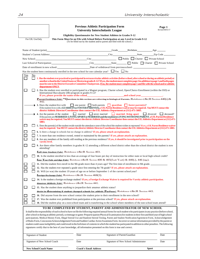|                                                                                                                                                              | <b>Previous Athletic Participation Form</b><br>Page 1<br><b>University Interscholastic League</b>                                                                                                                                                                                                         |                                                                                                                                                                                                                                   |                              | Revised 08/01/17                                                                                                                                                                                                                                                                                                                                                                                                                                                                                                                                                                                                                                                                                                                                                                                                                                                                                   |      |
|--------------------------------------------------------------------------------------------------------------------------------------------------------------|-----------------------------------------------------------------------------------------------------------------------------------------------------------------------------------------------------------------------------------------------------------------------------------------------------------|-----------------------------------------------------------------------------------------------------------------------------------------------------------------------------------------------------------------------------------|------------------------------|----------------------------------------------------------------------------------------------------------------------------------------------------------------------------------------------------------------------------------------------------------------------------------------------------------------------------------------------------------------------------------------------------------------------------------------------------------------------------------------------------------------------------------------------------------------------------------------------------------------------------------------------------------------------------------------------------------------------------------------------------------------------------------------------------------------------------------------------------------------------------------------------------|------|
|                                                                                                                                                              |                                                                                                                                                                                                                                                                                                           |                                                                                                                                                                                                                                   |                              |                                                                                                                                                                                                                                                                                                                                                                                                                                                                                                                                                                                                                                                                                                                                                                                                                                                                                                    |      |
| For UIL Use Only                                                                                                                                             | <b>Eligibility Questionnaire for New Student Athletes in Grades 9-12</b><br>This Form Must be on File with School Before Participation at any Level in Grade 9-12                                                                                                                                         |                                                                                                                                                                                                                                   |                              |                                                                                                                                                                                                                                                                                                                                                                                                                                                                                                                                                                                                                                                                                                                                                                                                                                                                                                    |      |
|                                                                                                                                                              |                                                                                                                                                                                                                                                                                                           | (To be filled out by the student and/or parent and filed with the school.)                                                                                                                                                        |                              |                                                                                                                                                                                                                                                                                                                                                                                                                                                                                                                                                                                                                                                                                                                                                                                                                                                                                                    |      |
|                                                                                                                                                              |                                                                                                                                                                                                                                                                                                           |                                                                                                                                                                                                                                   |                              |                                                                                                                                                                                                                                                                                                                                                                                                                                                                                                                                                                                                                                                                                                                                                                                                                                                                                                    |      |
|                                                                                                                                                              |                                                                                                                                                                                                                                                                                                           |                                                                                                                                                                                                                                   |                              |                                                                                                                                                                                                                                                                                                                                                                                                                                                                                                                                                                                                                                                                                                                                                                                                                                                                                                    |      |
|                                                                                                                                                              |                                                                                                                                                                                                                                                                                                           |                                                                                                                                                                                                                                   |                              | New School: City City Dublic D Charter D Private School                                                                                                                                                                                                                                                                                                                                                                                                                                                                                                                                                                                                                                                                                                                                                                                                                                            |      |
|                                                                                                                                                              |                                                                                                                                                                                                                                                                                                           |                                                                                                                                                                                                                                   |                              |                                                                                                                                                                                                                                                                                                                                                                                                                                                                                                                                                                                                                                                                                                                                                                                                                                                                                                    |      |
|                                                                                                                                                              |                                                                                                                                                                                                                                                                                                           |                                                                                                                                                                                                                                   |                              |                                                                                                                                                                                                                                                                                                                                                                                                                                                                                                                                                                                                                                                                                                                                                                                                                                                                                                    |      |
|                                                                                                                                                              |                                                                                                                                                                                                                                                                                                           | Has the student been continuously enrolled in the new school for one calendar year? $\Box$ Yes $\Box$ No                                                                                                                          |                              |                                                                                                                                                                                                                                                                                                                                                                                                                                                                                                                                                                                                                                                                                                                                                                                                                                                                                                    |      |
| No<br>Yes                                                                                                                                                    |                                                                                                                                                                                                                                                                                                           |                                                                                                                                                                                                                                   |                              |                                                                                                                                                                                                                                                                                                                                                                                                                                                                                                                                                                                                                                                                                                                                                                                                                                                                                                    |      |
|                                                                                                                                                              | department ONLY.                                                                                                                                                                                                                                                                                          |                                                                                                                                                                                                                                   |                              | 1. Has the student ever practiced or participated in extracurricular athletic activities (before school, after school or during an athletic period) at<br>another school in the United States or Mexico in grades 8-12? If yes, the student must complete page 2 in addition to page 1 and both pages<br>must be sent to the District Executive Committee Chairperson. If no, the student must complete page 1 and file with the school and/or athletic                                                                                                                                                                                                                                                                                                                                                                                                                                            |      |
|                                                                                                                                                              | International Baccaluarte (IB) program in grades 9-12?                                                                                                                                                                                                                                                    |                                                                                                                                                                                                                                   |                              | 2. Has the student ever enrolled or participated in a Magnet program, Charter school, Open/Choice Enrollment (within the ISD) or<br>If yes, please provide the name of the school and school and school year                                                                                                                                                                                                                                                                                                                                                                                                                                                                                                                                                                                                                                                                                       |      |
| 442.                                                                                                                                                         |                                                                                                                                                                                                                                                                                                           |                                                                                                                                                                                                                                   |                              | Parent Fesidence Fule: * Questions in this section are referring to biological Parents. RefeRence $c\&cR$ Section 440(b) $\&$                                                                                                                                                                                                                                                                                                                                                                                                                                                                                                                                                                                                                                                                                                                                                                      |      |
|                                                                                                                                                              |                                                                                                                                                                                                                                                                                                           | $\rightarrow$ 3. Does the student live with $\Box$ one parent $\Box$ both parents $\Box$ guardian $\Box$ foster parent(s)?<br>district Athletic Director/Coordinator then contact the UIL Athletics Department at (512) 471-5883. |                              | If the student lives with a GUARDIAN or FOSTER PARENT(S), a UIL Parent Residence waiver may be required. You MUST contact the                                                                                                                                                                                                                                                                                                                                                                                                                                                                                                                                                                                                                                                                                                                                                                      |      |
| 5883.                                                                                                                                                        |                                                                                                                                                                                                                                                                                                           |                                                                                                                                                                                                                                   |                              | 4. Are the parents of the student $\Box$ married $\Box$ never married $\Box$ married iving apart $\Box$ divorced $\Box$ deceased?<br>If the parents are MARRIED-LIVING APART or MARRIED and the student is LIVING WITHONE PARENT, a UIL Parent Residence<br>waiver may be required. You MUST contact the district Athletic Director/Coordinator then contact the UIL Athletics Department at (512) 471-                                                                                                                                                                                                                                                                                                                                                                                                                                                                                            |      |
|                                                                                                                                                              | 5. Does the parent(s) of the student reside outside the attendance zone of the school the student wishes to represent? If yes, a UIL Parent Residence waiver<br>may be required. You MUST contact the district Athletic Director/Coordinator then contact the UIL Athletics Department at (512) 471-5883. |                                                                                                                                                                                                                                   |                              |                                                                                                                                                                                                                                                                                                                                                                                                                                                                                                                                                                                                                                                                                                                                                                                                                                                                                                    |      |
|                                                                                                                                                              | 6. Is there a change in schools but no change in address? If yes, please attach an explanation.                                                                                                                                                                                                           |                                                                                                                                                                                                                                   |                              |                                                                                                                                                                                                                                                                                                                                                                                                                                                                                                                                                                                                                                                                                                                                                                                                                                                                                                    |      |
|                                                                                                                                                              | 7. Is more than one residence owned, rented or maintained by the parents? If yes, please attach an explanation.                                                                                                                                                                                           |                                                                                                                                                                                                                                   |                              |                                                                                                                                                                                                                                                                                                                                                                                                                                                                                                                                                                                                                                                                                                                                                                                                                                                                                                    |      |
| 8. Are any members of the family still residing at the previous residence? If yes, it should be investigated prior to participation on the<br>varsity level. |                                                                                                                                                                                                                                                                                                           |                                                                                                                                                                                                                                   |                              |                                                                                                                                                                                                                                                                                                                                                                                                                                                                                                                                                                                                                                                                                                                                                                                                                                                                                                    |      |
| attending?                                                                                                                                                   |                                                                                                                                                                                                                                                                                                           |                                                                                                                                                                                                                                   |                              | 9. Are there other family members in grades K-12 attending a different school district other than the school district the student is now                                                                                                                                                                                                                                                                                                                                                                                                                                                                                                                                                                                                                                                                                                                                                           |      |
|                                                                                                                                                              | <b>full time Student Pule:</b> Reference C&CR Section 403.                                                                                                                                                                                                                                                |                                                                                                                                                                                                                                   |                              |                                                                                                                                                                                                                                                                                                                                                                                                                                                                                                                                                                                                                                                                                                                                                                                                                                                                                                    |      |
|                                                                                                                                                              |                                                                                                                                                                                                                                                                                                           |                                                                                                                                                                                                                                   |                              | 10. Is the student enrolled in less than an average of four hours per day of instruction for either state or local high school credit?                                                                                                                                                                                                                                                                                                                                                                                                                                                                                                                                                                                                                                                                                                                                                             |      |
|                                                                                                                                                              |                                                                                                                                                                                                                                                                                                           |                                                                                                                                                                                                                                   |                              | four Year Tule and age Tule: Reference c&cR Section 400 & $405$ (four Year) & $440$ (c), $446$ (age).                                                                                                                                                                                                                                                                                                                                                                                                                                                                                                                                                                                                                                                                                                                                                                                              |      |
|                                                                                                                                                              |                                                                                                                                                                                                                                                                                                           |                                                                                                                                                                                                                                   |                              | 11. Did the student first enroll in the 9th grade more than 4 years ago? The first date of enrollment in 9th grade.<br>12. Has the student ever repeated a grade since first entering the 7th grade? If yes, please attach an explanation.                                                                                                                                                                                                                                                                                                                                                                                                                                                                                                                                                                                                                                                         |      |
| $\overline{\phantom{a}}$                                                                                                                                     |                                                                                                                                                                                                                                                                                                           |                                                                                                                                                                                                                                   |                              | 13. Will (or was) the student 19 years of age on or before September 1 of the current school year?                                                                                                                                                                                                                                                                                                                                                                                                                                                                                                                                                                                                                                                                                                                                                                                                 |      |
|                                                                                                                                                              |                                                                                                                                                                                                                                                                                                           | <b>foreign Exchange Fule:</b> Reference c&cR Section 468(3).                                                                                                                                                                      |                              |                                                                                                                                                                                                                                                                                                                                                                                                                                                                                                                                                                                                                                                                                                                                                                                                                                                                                                    |      |
|                                                                                                                                                              |                                                                                                                                                                                                                                                                                                           |                                                                                                                                                                                                                                   |                              | 14. Is the student a foreign exchange student? If yes, a Foreign Exchange Waiver is required for Varsity athletic participation.                                                                                                                                                                                                                                                                                                                                                                                                                                                                                                                                                                                                                                                                                                                                                                   |      |
|                                                                                                                                                              | <b>amateur athletic rule:</b> RefeRence C&cR Section 441.                                                                                                                                                                                                                                                 |                                                                                                                                                                                                                                   |                              |                                                                                                                                                                                                                                                                                                                                                                                                                                                                                                                                                                                                                                                                                                                                                                                                                                                                                                    |      |
|                                                                                                                                                              | 15. Has the student done anything to jeopardize their amateur athletic status?                                                                                                                                                                                                                            |                                                                                                                                                                                                                                   |                              |                                                                                                                                                                                                                                                                                                                                                                                                                                                                                                                                                                                                                                                                                                                                                                                                                                                                                                    |      |
|                                                                                                                                                              |                                                                                                                                                                                                                                                                                                           |                                                                                                                                                                                                                                   |                              | <b>assist in determining if student changed schools for athletic PurPoses:</b> Reference $c\&cR$ Section 443.                                                                                                                                                                                                                                                                                                                                                                                                                                                                                                                                                                                                                                                                                                                                                                                      |      |
|                                                                                                                                                              |                                                                                                                                                                                                                                                                                                           | 16. Did anyone from the new school contact the student prior to their enrollment in the new school?                                                                                                                               |                              |                                                                                                                                                                                                                                                                                                                                                                                                                                                                                                                                                                                                                                                                                                                                                                                                                                                                                                    |      |
| 17. Was the student ever prohibited from participation at the previous school? If yes, please attach an explanation.                                         |                                                                                                                                                                                                                                                                                                           |                                                                                                                                                                                                                                   |                              |                                                                                                                                                                                                                                                                                                                                                                                                                                                                                                                                                                                                                                                                                                                                                                                                                                                                                                    |      |
|                                                                                                                                                              |                                                                                                                                                                                                                                                                                                           |                                                                                                                                                                                                                                   |                              | 18. Did the student play on a non-school team and is transferring to the school where members of the non-school team attend?                                                                                                                                                                                                                                                                                                                                                                                                                                                                                                                                                                                                                                                                                                                                                                       |      |
|                                                                                                                                                              |                                                                                                                                                                                                                                                                                                           | signatures certify that to the best of your knowledge, all information presented on this form is true and correct.                                                                                                                |                              | TO BE COMPLETED BY STUDENT, PARENT AND ADMINISTRATOR OF NEW SCHOOL<br>It shall be the responsibility of each school to have on file the following required annual forms for each student who participates in any practice (before school,<br>after school or during an athletic period), scrimmage or game: Preparticipation Physical Examination (for students in their first and third year of high school<br>participation), Medical History Form, Illegal Steroid Use and Random Steroid Testing, Parent and Student Notification/Agreement Form, Acknowledgement<br>of Rules Form, Concussion Acknowledgement Form and Sudden Cardiac Arrest Awareness Form. Incorrect or untrue information provided by the parent or<br>student could cause ineligibility and could result in the forfeiture of contests in which the student has particpated in addition to other penalties. The following |      |
|                                                                                                                                                              |                                                                                                                                                                                                                                                                                                           |                                                                                                                                                                                                                                   |                              |                                                                                                                                                                                                                                                                                                                                                                                                                                                                                                                                                                                                                                                                                                                                                                                                                                                                                                    |      |
| Signature of Student                                                                                                                                         |                                                                                                                                                                                                                                                                                                           | Date                                                                                                                                                                                                                              | Signature of Parent/Guardian |                                                                                                                                                                                                                                                                                                                                                                                                                                                                                                                                                                                                                                                                                                                                                                                                                                                                                                    | Date |
| Signature of New School Coach                                                                                                                                |                                                                                                                                                                                                                                                                                                           | Date                                                                                                                                                                                                                              |                              | Signature of New School Administrator                                                                                                                                                                                                                                                                                                                                                                                                                                                                                                                                                                                                                                                                                                                                                                                                                                                              | Date |
| <b>New School Coach Name</b>                                                                                                                                 |                                                                                                                                                                                                                                                                                                           | <b>Coach's Email Address</b>                                                                                                                                                                                                      |                              | Sport                                                                                                                                                                                                                                                                                                                                                                                                                                                                                                                                                                                                                                                                                                                                                                                                                                                                                              |      |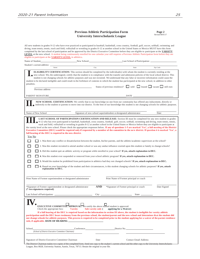| <b>Previous Athletic Participation Form</b> |  |
|---------------------------------------------|--|
| <b>University Interscholastic League</b>    |  |

**Page 2**<br>Revised 08/01/17

| All new students in grades 9-12 who have ever practiced or participated in baseball, basketball, cross country, football, golf, soccer, softball, swimming and<br>diving, team tennis, tennis, track and field, volleyball or wrestling in grades 8-12 at another school in the United States or Mexico MUST have this form<br>completed by the last school of participation and be approved by the District Executive Committee before they are eligible to participate at the <b>VARSITY</b><br>LEVEL at the new school. A student being continuously enrolled for one calendar year still requires a Previous Athletic Participation form before they are<br>eligible to participate at the <b>VARSITY LEVEL</b> in athletics. |                |                           |                                                                                                                                                                                                                                                                                                                                                                                                                                                                                                                                                                                                                                                                                                                                                                                                                                                                                                                                                                                                                                                                                                                                                                                                                                                                         |         |                              |
|-----------------------------------------------------------------------------------------------------------------------------------------------------------------------------------------------------------------------------------------------------------------------------------------------------------------------------------------------------------------------------------------------------------------------------------------------------------------------------------------------------------------------------------------------------------------------------------------------------------------------------------------------------------------------------------------------------------------------------------|----------------|---------------------------|-------------------------------------------------------------------------------------------------------------------------------------------------------------------------------------------------------------------------------------------------------------------------------------------------------------------------------------------------------------------------------------------------------------------------------------------------------------------------------------------------------------------------------------------------------------------------------------------------------------------------------------------------------------------------------------------------------------------------------------------------------------------------------------------------------------------------------------------------------------------------------------------------------------------------------------------------------------------------------------------------------------------------------------------------------------------------------------------------------------------------------------------------------------------------------------------------------------------------------------------------------------------------|---------|------------------------------|
| Name of Student                                                                                                                                                                                                                                                                                                                                                                                                                                                                                                                                                                                                                                                                                                                   | New School:    |                           | Last School of Participation:                                                                                                                                                                                                                                                                                                                                                                                                                                                                                                                                                                                                                                                                                                                                                                                                                                                                                                                                                                                                                                                                                                                                                                                                                                           |         |                              |
| Student's current address:                                                                                                                                                                                                                                                                                                                                                                                                                                                                                                                                                                                                                                                                                                        |                |                           |                                                                                                                                                                                                                                                                                                                                                                                                                                                                                                                                                                                                                                                                                                                                                                                                                                                                                                                                                                                                                                                                                                                                                                                                                                                                         |         |                              |
| Street                                                                                                                                                                                                                                                                                                                                                                                                                                                                                                                                                                                                                                                                                                                            |                | City                      | State                                                                                                                                                                                                                                                                                                                                                                                                                                                                                                                                                                                                                                                                                                                                                                                                                                                                                                                                                                                                                                                                                                                                                                                                                                                                   |         | Zip Code                     |
| new school. We, the undersigned, certify that the student is in compliance with the transfer and admission policies of the local school district. This<br>student to be declared ineligible and could result in the forfeiture of contests in which the student has participated at the new school, in addition to other<br>penalties.<br>Previous address                                                                                                                                                                                                                                                                                                                                                                        |                |                           | <b>ELIGIBILITY CERTIFICATION:</b> This section should be completed by the individual(s) with whom the student is currently residing at the<br>student is not changing schools for athletic purposes and was not recruited. We understand that any false or incorrect information could cause the<br>Status of previous residence?                                                                                                                                                                                                                                                                                                                                                                                                                                                                                                                                                                                                                                                                                                                                                                                                                                                                                                                                       |         | sold leased vacant still own |
| PARENT SIGNATURE                                                                                                                                                                                                                                                                                                                                                                                                                                                                                                                                                                                                                                                                                                                  |                |                           | DATE_                                                                                                                                                                                                                                                                                                                                                                                                                                                                                                                                                                                                                                                                                                                                                                                                                                                                                                                                                                                                                                                                                                                                                                                                                                                                   |         |                              |
|                                                                                                                                                                                                                                                                                                                                                                                                                                                                                                                                                                                                                                                                                                                                   |                |                           | NEW SCHOOL CERTIFICATION: We certify that to our knowledge no one from our community has offered any inducement, directly or<br>indirectly to the student or parents to move into our district. To the best of our knowledge this student is not changing schools for athletic purposes.                                                                                                                                                                                                                                                                                                                                                                                                                                                                                                                                                                                                                                                                                                                                                                                                                                                                                                                                                                                |         |                              |
| Name of New School                                                                                                                                                                                                                                                                                                                                                                                                                                                                                                                                                                                                                                                                                                                |                |                           | Signature of new school superindendent or designated administrator                                                                                                                                                                                                                                                                                                                                                                                                                                                                                                                                                                                                                                                                                                                                                                                                                                                                                                                                                                                                                                                                                                                                                                                                      |         | Date                         |
| the varsity level at the new school. Please check the appropriate responses below. If any of questions 1-5 are marked 'Yes', a full meeting of the District<br>Executive Committee (DEC) would be required only if requested by a member of the committee in the new district. If question 6 is marked 'Yes', a<br>full hearing of the DEC is required in the new district.<br>Yes No<br>explanation to DEC.                                                                                                                                                                                                                                                                                                                      |                |                           | <b>LAST SCHOOL OF PARTICIPATION CERTIFICATION AND RELEASE:</b> Section III must be completed for any new student in grades<br>9-12 who has ever participated in baseball, basketball, cross country, football, golf, soccer, softball, swimming and diving, team tennis, tennis,<br>track and field, volleyball or wrestling in grades 8-12 at another school in the United States or Mexico before they are eligible to participate at<br>1. Was there any conflict or dissatisfaction between the student, his/her parents, and the athletic/academic supervisors at the school?<br>2. Was this student recruited to attend another school or was any undue influence exerted upon this student or family to change schools?<br>3. Did this student quit an athletic activity or program while enrolled in your school? If yes, attach explanation to DEC.<br>4. Was this student ever suspended or removed from your school athletic program? If yes, attach explanation to DEC.<br>5. Would the student be prohibited from participation in athletics had they not changed schools? If yes, attach explanation to DEC.<br>6. Based on your knowledge of the student and their circumstances, is this student changing schools for athletic purposes? If yes, attach |         |                              |
| Print Name of Former superintendent or designated administrator                                                                                                                                                                                                                                                                                                                                                                                                                                                                                                                                                                                                                                                                   |                |                           | Print Name of Former principal or coach                                                                                                                                                                                                                                                                                                                                                                                                                                                                                                                                                                                                                                                                                                                                                                                                                                                                                                                                                                                                                                                                                                                                                                                                                                 |         |                              |
| *Signature of Former superintendent or designated administrator<br>(* two signatures required)                                                                                                                                                                                                                                                                                                                                                                                                                                                                                                                                                                                                                                    |                | <b>AND</b>                | *Signature of Former principal or coach                                                                                                                                                                                                                                                                                                                                                                                                                                                                                                                                                                                                                                                                                                                                                                                                                                                                                                                                                                                                                                                                                                                                                                                                                                 |         | Date Signed                  |
| Last School of Participation: _                                                                                                                                                                                                                                                                                                                                                                                                                                                                                                                                                                                                                                                                                                   |                | $City_$                   |                                                                                                                                                                                                                                                                                                                                                                                                                                                                                                                                                                                                                                                                                                                                                                                                                                                                                                                                                                                                                                                                                                                                                                                                                                                                         | State _ |                              |
| <b>EXECUTIVE COMMITTEE APPROVAL:</b> We certify the above named student is approved.<br>Check the appropriate box:<br>participation until the DEC hears testimony from the previous school, the student/parent and the new school and determines that the student did<br>not change schools for athletic purposes. This process is required to be completed prior to the student applying for a waiver of the parent residence                                                                                                                                                                                                                                                                                                    | <b>Varsity</b> | <b>Sub-varsity only</b> ( | applying for a Waiver<br>If a full hearing of the DEC is required based on the information in section III above, the student is ineligible for varsity athletic                                                                                                                                                                                                                                                                                                                                                                                                                                                                                                                                                                                                                                                                                                                                                                                                                                                                                                                                                                                                                                                                                                         |         |                              |
| School<br>(School of District Executive Committee Chairman)                                                                                                                                                                                                                                                                                                                                                                                                                                                                                                                                                                                                                                                                       |                |                           | Conference District No.                                                                                                                                                                                                                                                                                                                                                                                                                                                                                                                                                                                                                                                                                                                                                                                                                                                                                                                                                                                                                                                                                                                                                                                                                                                 |         |                              |
| Signature of District Executive Committee Chairman<br>The District Chairman makes two copies of the completed form. Send one copy to the student's current school and the other copy to the University Interscholastic                                                                                                                                                                                                                                                                                                                                                                                                                                                                                                            |                | Date                      | <b>Contact Email Address</b>                                                                                                                                                                                                                                                                                                                                                                                                                                                                                                                                                                                                                                                                                                                                                                                                                                                                                                                                                                                                                                                                                                                                                                                                                                            |         |                              |

League, Box 8028, University Station, Austin, Texas, 78713. Retain the original in your file.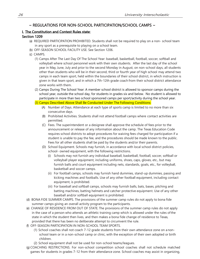# ~ REGULATIONS FOR NON-SCHOOL PARTICIPATION/SCHOOL CAMPS ~

## <span id="page-25-0"></span>I. The Constitution and Contest Rules state:

## Section 1209

- (a) REQUIRED PARTICIPATION PROHIBITED. Students shall not be required to play on a non- school team in any sport as a prerequisite to playing on a school team.
- (b) OFF-SEASON SCHOOL FACILITY USE. See Section 1206.
- (c) CAMPS.
	- (1) Camps After The Last Day Of The School Year: baseball, basketball, football, soccer, softball and volleyball where school personnel work with their own students. After the last day of the school year in May, June, July and prior to the second Monday in August, on non-school days, all students other than students who will be in their second, third or fourth year of high school may attend two camps in each team sport, held within the boundaries of their school district, in which instruction is given in that team sport, and in which a 7th-12th grade coach from their school district attendance zone works with them.
	- (2) Camps During The School Year: A member school district is allowed to sponsor camps during the school year, outside the school day, for students in grades six and below. No student is allowed to participate in more than two school sponsored camps per sport/activity during the school year.

(3) Camps Described Above Shall Be Conducted Under The Following Conditions:

- (A) Number of Days. Attendance at each type of sports camp is limited to no more than six consecutive days.
- (B) Prohibited Activities. Students shall not attend football camps where contact activities are permitted.
- (C) Fees. The superintendent or a designee shall approve the schedule of fees prior to the announcement or release of any information about the camp. The Texas Education Code requires school districts to adopt procedures for waiving fees charged for participation if a student is unable to pay the fee, and the procedures should be made known to the public. Fees for all other students shall be paid by the students and/or their parents.
- (D) School Equipment. Schools may furnish, in accordance with local school district policies, school- owned equipment, with the following restrictions.
	- (i) Schools may not furnish any individual baseball, basketball, football, soccer, softball or volleyball player equipment, including uniforms, shoes, caps, gloves, etc., but may furnish balls and court equipment including nets, standards, goals, etc., for volleyball, basketball and soccer camps.
	- (ii) For football camps, schools may furnish hand dummies, stand-up dummies, passing and kicking machines and footballs. Use of any other football equipment, including contact equipment, is prohibited.
	- (iii) For baseball and softball camps, schools may furnish balls, bats, bases, pitching and batting machines, batting helmets and catcher protective equipment. Use of any other baseball and/or softball equipment is prohibited.
- (d) BONA FIDE SUMMER CAMPS. The provisions of the summer camp rules do not apply to bona fide summer camps giving an overall activity program to the participants.
- (e) CHANGE OF RESIDENCE FROM OUT OF STATE. The provisions of the summer camp rules do not apply in the case of a person who attends an athletic training camp which is allowed under the rules ofthe state in which the student then lives, and then makes a bona fide change of residence to Texas, provided that there has been no deliberate attempt to circumvent the rule.
- (f) OFF-SEASON PARTICIPATION IN NON-SCHOOL TEAM SPORTS.
	- (1) School coaches shall not coach 7-12 grade students from their own attendance zone on a nonschool team or in a non-school camp or clinic, with the exception of their own adopted or birth children.
	- (2) School equipment shall not be used for non-school teams/leagues.
- (g) COACHING RESTRICTIONS. For non-school competition school coaches shall not schedule matched games for students in grades 7-12 from their attendance zone. School coaches may assist in organizing,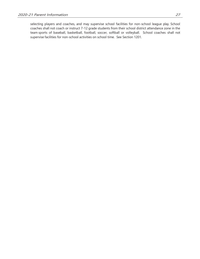selecting players and coaches, and may supervise school facilities for non-school league play. School coaches shall not coach or instruct 7-12 grade students from their school district attendance zone in the team sports of baseball, basketball, football, soccer, softball or volleyball. School coaches shall not supervise facilities for non-school activities on school time. See Section 1201.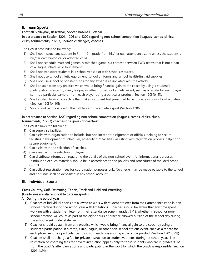# II. Team Sports

## Football, Volleyball, Basketball, Soccer, Baseball, Softball In accordance to Section 1201, 1206 and 1209 regarding non-school competition (leagues, camps, clinics, clubs, tournaments, 7 on 7, lineman challenges) coaches:

## The C&CR prohibits the following:

- 1) Shall not instruct any student in 7th 12th grade from his/her own attendance zone unless the studentis his/her own biological or adopted child.
- 2) Shall not schedule matched games. A matched game is a contest between TWO teams that is not a part of a league schedule or tournament.
- 3) Shall not transport students in a school vehicle or with school resources.
- 4) Shall not use school athletic equipment, school uniforms and school health/first aid supplies.
- 5) Shall not use school or booster funds for any expenses associated with the activity.
- 6) Shall abstain from any practice which would bring financial gain to the coach by using a student's participation in a camp, clinic, league, or other non-school athletic event, such as a rebate for each player sent toa particular camp or from each player using a particular product (Section 120l [b, 9]).
- 7) Shall abstain from any practice that makes a student feel pressured to participate in non-school activities (Section 120l [b, 10]).
- 8) Should not participate with their athletes in the athlete's sport (Section 1206 [i]).

## In accordance to Section 1209 regarding non-school competition (leagues, camps, clinics, clubs, tournaments, 7 on 7) coaches or a group of coaches:

The C&CR allows the following:

- 1) Can supervise facilities.
- 2) Can assist with organization to include, but not limited to: assignment of officials, helping to secure facilities, development of schedules, scheduling of facilities, assisting with registration process, helping to secure equipment.
- 3) Can assist with the selection of coaches.
- 4) Can assist with the selection of players.
- 5) Can distribute information regarding the details of the non-school event for informational purposes. Distribution of such materials should be in accordance to the policies and procedures of the local school district.
- 6) Can collect registration fees for coordination purposes only. No checks may be made payable to the school and no funds shall be deposited in any school account.

# III. Individual Sports:

# Cross Country, Golf, Swimming, Tennis, Track and Field and Wrestling (Guidelines are also applicable to team sports)

## A. During the school year

- 1) Coaches of individual sports are allowed to work with student athletes from their attendance zone in nonschool practice during the school year with limitations. Coaches should be aware that any time spent working with a student-athlete from their attendance zone in grades 7-12, whether in school or nonschool practice, will count as part of the eight hours of practice allowed outside of the school day during the school week under state law.
- 2) Coaches should abstain from any practice which would bring financial gain to the coach by using a student's participation in a camp, clinic, league, or other non-school athletic event, such as a rebate for each player sent to a particular camp or from each player using a particular product (Section 1201 [b,9]).
- 3) Coaches shall not charge a fee for private instruction to student=athletes during he school year. The restriction on charging fees for private instruction applies only to those students who are in grades 9-12, from the coach's attendance zone and participating in the sport for which the coach is responsible (Section 1201 [b,9]).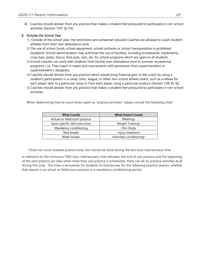4) Coaches should abstain from any practice that makes a student feel pressured to participate in non-school activities (Section 1201 [b,10]).

## B. Outside the School Year

- 1) Outside of the school year, the restrictions are somewhat reduced. Coaches are allowed to coach studentathletes from their own attendance zone.
- 2) The use of school funds, school equipment, school uniforms or school transportation is prohibited. Exception: School administrators may authorize the use of facilities, including scoreboards, implements, cross bars, poles, discus, shot puts, nets, etc. for school programs which are open to all students.
- 3) School coaches can work with students from his/her own attendance zone in summer recreational programs ( i.e. They coach in meets and tournaments with permission from superintendent or superintendent's designee).
- 4) Coaches should abstain from any practice which would bring financial gain to the coach by using a student's participation in a camp, clinic, league, or other non-school athletic event, such as a rebate for each player sent to a particular camp or from each player using a particular product (Section 120l [b, 9]).
- 5) Coaches should abstain from any practice that makes a student feel pressured to participate in non-school activities.

When determining how to count times spent as "practice activities" please consult the following chart:

| <b>What Counts</b>               | <b>What Doesn't Count</b> |  |  |
|----------------------------------|---------------------------|--|--|
| Actual on field/court practice   | Meetings                  |  |  |
| Sport specific skill instruction | Weight Training*          |  |  |
| Mandatory conditioning           | Film Study                |  |  |
| Rest breaks                      | Injury treatment          |  |  |
| Water breaks                     | Voluntary conditioning*   |  |  |

\*Does not count towards practice time, but cannot be done during the two hour rest/recovery time.

In reference to the minimum TWO hour rest/recovery time between the end of one practice and the beginning of the next practice (on days when more than one practice is scheduled), there can be no practice activities at all during this time. This time is exclusively for students to rest/recover for the following practice session, whether that session is an actual on field/court practice or a mandatory conditioning period.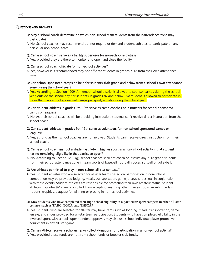## QUESTIONS AND ANSWERS

- Q: May a school coach determine on which non-school team students from their attendance zone may participate?
- A: No. School coaches may recommend but not require or demand student-athletes to participate on any particular non-school team.

### Q: Can a school coach serve as a facility supervisor for non-school activities?

A: Yes, provided they are there to monitor and open and close the facility.

### Q: Can a school coach officiate for non-school activities?

A: Yes, however it is recommended they not officiate students in grades 7-12 from their own attendance zone.

- Q: Can school sponsored camps be held for students sixth grade and below from a school's own attendance zone during the school year?
- A: Yes. According to Section 1209, A member school district is allowed to sponsor camps during the school year, outside the school day, for students in grades six and below. No student is allowed to participate in more than two school sponsored camps per sport/activity during the school year.
- Q: Can student-athletes in grades 9th-12th serve as camp coaches or instructors for school sponsored camps or leagues?
- A: No. As their school coaches will be providing instruction, students can't receive direct instruction from their school coach.

### Q: Can student-athletes in grades 9th-12th serve as volunteers for non-school sponsored camps or leagues?

- A: Yes, as long as their school coaches are not involved. Students can't receive direct instruction from their school coach.
- Q: Can a school coach instruct a student-athlete in his/her sport in a non-school activity if that student has no remaining eligibility in that particular sport?
- A: No. According to Section 1209 (g), school coaches shall not coach or instruct any 7-12 grade students from their school attendance zone in team sports of baseball, football, soccer, softball or volleyball.

### Q: Are athletes permitted to play in non-school all-star contests?

- A: Yes. Student athletes who are selected for all-star teams based on participation in non-school competition may be provided lodging, meals, transportation, game jerseys, shoes, etc. in conjunction with these events. Student-athletes are responsible for protecting their own amateur status. Student athletes in grades 9-12 are prohibited from accepting anything other than symbolic awards (medals, ribbons, trophies, plaques) for winning or placing in non-school activities.
- **Q: May students who have completed their high school eligibility in a particular sport compete in other all-star contests such as TABC, TGCA, and THSCA?**
- A: Yes. Students who are selected for all-star may have items such as lodging, meals, transportation, game jerseys, and shoes provided for all-star team participation. Students who have completed eligibility in the involved sport, with school superintendent approval, may also use school individual player protective equipment in any all-star game.

# Q: Can an athlete receive a scholarship or collect donations for participation in a non-school activity?

A: Yes, provided these funds are not from school funds or booster club funds.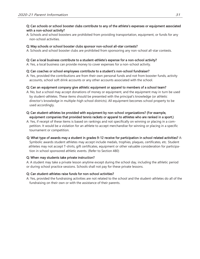## Q: Can schools or school booster clubs contribute to any of the athlete's expenses or equipment associated with a non-school activity?

A: Schools and school boosters are prohibited from providing transportation, equipment, or funds for any non-school activities.

# Q: May schools or school booster clubs sponsor non-school all-star contests?

A: Schools and school booster clubs are prohibited from sponsoring any non-school all-star contests.

# Q: Can a local business contribute to a student-athlete's expense for a non-school activity?

A: Yes, a local business can provide money to cover expenses for a non-school activity.

# Q: Can coaches or school employees contribute to a student's non-school fundraiser?

A: Yes, provided the contributions are from their own personal funds and not from booster funds, activity accounts, school soft drink accounts or any other accounts associated with the school.

# Q: Can an equipment company give athletic equipment or apparel to members of a school team?

A: No, but a school may accept donations of money or equipment, and the equipment may in turn be used by student-athletes. These items should be presented with the principal's knowledge (or athletic director's knowledge in multiple-high school districts). All equipment becomes school property to be used accordingly.

# Q: Can student-athletes be provided with equipment by non-school organizations? (For example, equipment companies that provided tennis rackets or apparel to athletes who are ranked in a sport.)

A: Yes, if receipt of these items is based on rankings and not specifically on winning or placing in a competition. It would be a violation for an athlete to accept merchandise for winning or placing in a specific tournament or competition.

# Q: What type of awards may a student in grades 9-12 receive for participation in school related activities? A:

Symbolic awards student athletes may accept include medals, trophies, plaques, certificates, etc. Student athletes may not accept T-shirts, gift certificates, equipment or other valuable consideration for participation in school sponsored athletic events. (Refer to Section 480)

# Q: When may students take private instruction?

A: A student may take a private lesson anytime except during the school day, including the athletic period or during school practice sessions. Schools shall not pay for these private lessons.

# Q: Can student-athletes raise funds for non-school activities?

A: Yes, provided the fundraising activities are not related to the school and the student-athletes do all of the fundraising on their own or with the assistance of their parents.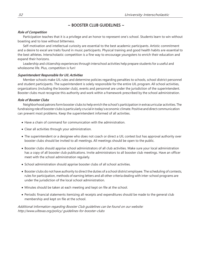# $\sim$  BOOSTER CLUB GUIDELINES  $\sim$

### <span id="page-31-0"></span>Role of Competition

Participation teaches that it is a privilege and an honor to represent one's school. Students learn to win without boasting and to lose without bitterness.

Self-motivation and intellectual curiosity are essential to the best academic participants. Artistic commitment and a desire to excel are traits found in music participants. Physical training and good health habits are essential to the best athletes. Interscholastic competition is a fine way to encourage youngsters to enrich their education and expand their horizons.

Leadership and citizenship experiences through interschool activities help prepare students for a useful and wholesome life. Plus, competition is fun!

### Superintendent Responsible for UIL Activities

Member schools make UIL rules and determine policies regarding penalties to schools, school district personnel and student participants. The superintendent is solely responsible for the entire UIL program. All school activities, organizations (including the booster club), events and personnel are under the jurisdiction of the superintendent. Booster clubs must recognize this authority and work within a framework prescribed by the school administration.

### Role of Booster Clubs

Neighborhood patrons formbooster clubs to help enrich the school's participation in extracurricular activities. The fundraising role of booster clubs is particularly crucial in today's economic climate. Positive and direct communication can prevent most problems. Keep the superintendent informed of all activities.

- Have a chain of command for communication with the administration.
- Clear all activities through your administration.
- The superintendent or a designee who does not coach or direct a UIL contest but has approval authority over booster clubs should be invited to all meetings. All meetings should be open to the public.
- Booster clubs should apprise school administrators of all club activities. Make sure your local administration has a copy of all booster club publications. Invite administrators to all booster club meetings. Have an officer meet with the school administration regularly.
- School administration should apprise booster clubs of all school activities.
- Booster clubs do not have authority to direct the duties of a school district employee. The scheduling of contests, rules for participation, methods of earning letters and all other criteria dealing with inter-school programs are under the jurisdiction of the local school administration.
- Minutes should be taken at each meeting and kept on file at the school.
- Periodic financial statements itemizing all receipts and expenditures should be made to the general club membership and kept on file at the school.

Additional information regarding Booster Club guidelines can be found on our website: <http://www.uiltexas.org/policy/> guidelines-for-booster-clubs